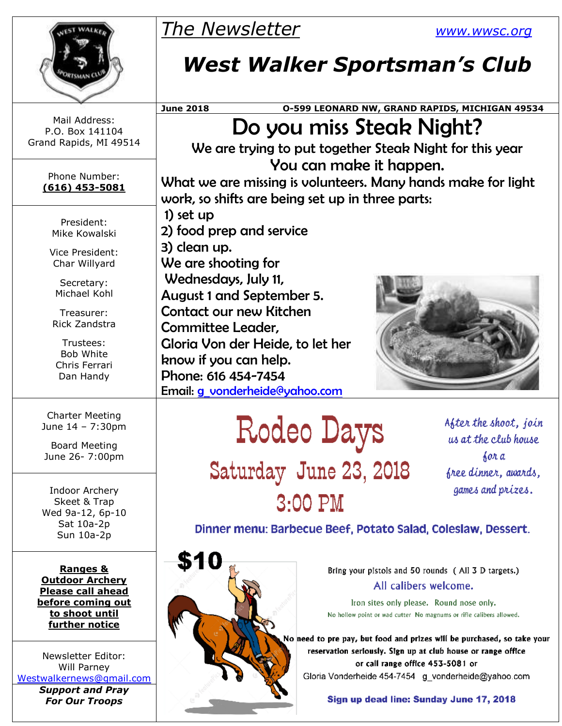|                                                            | <b>The Newsletter</b>                                                                                                                                                                                                              |                        | <u>WWW.WWSC.Org</u>                                                                                                                     |  |  |  |  |
|------------------------------------------------------------|------------------------------------------------------------------------------------------------------------------------------------------------------------------------------------------------------------------------------------|------------------------|-----------------------------------------------------------------------------------------------------------------------------------------|--|--|--|--|
|                                                            | <b>West Walker Sportsman's Club</b>                                                                                                                                                                                                |                        |                                                                                                                                         |  |  |  |  |
|                                                            | <b>June 2018</b>                                                                                                                                                                                                                   |                        | 0-599 LEONARD NW, GRAND RAPIDS, MICHIGAN 49534                                                                                          |  |  |  |  |
| Mail Address:<br>P.O. Box 141104<br>Grand Rapids, MI 49514 | Do you miss Steak Night?<br>We are trying to put together Steak Night for this year<br>You can make it happen.<br>What we are missing is volunteers. Many hands make for light<br>work, so shifts are being set up in three parts: |                        |                                                                                                                                         |  |  |  |  |
| Phone Number:<br>$(616)$ 453-5081                          |                                                                                                                                                                                                                                    |                        |                                                                                                                                         |  |  |  |  |
| President:<br>Mike Kowalski                                | 1) set $up$<br>2) food prep and service                                                                                                                                                                                            |                        |                                                                                                                                         |  |  |  |  |
| Vice President:<br>Char Willyard                           | 3) clean up.<br>We are shooting for<br>Wednesdays, July 11,<br><b>August 1 and September 5.</b><br>Contact our new Kitchen<br><b>Committee Leader,</b>                                                                             |                        |                                                                                                                                         |  |  |  |  |
| Secretary:<br>Michael Kohl                                 |                                                                                                                                                                                                                                    |                        |                                                                                                                                         |  |  |  |  |
| Treasurer:<br><b>Rick Zandstra</b>                         |                                                                                                                                                                                                                                    |                        |                                                                                                                                         |  |  |  |  |
| Trustees:<br><b>Bob White</b>                              | Gloria Von der Heide, to let her<br>know if you can help.                                                                                                                                                                          |                        |                                                                                                                                         |  |  |  |  |
| Chris Ferrari<br>Dan Handy                                 | Phone: 616 454-7454<br>Email: <i>g</i> vonderheide@yahoo.com                                                                                                                                                                       |                        |                                                                                                                                         |  |  |  |  |
| <b>Charter Meeting</b><br>June 14 - 7:30pm                 |                                                                                                                                                                                                                                    | Rodeo Days             | After the shoot, join<br>us at the club house                                                                                           |  |  |  |  |
| <b>Board Meeting</b><br>June 26- 7:00pm                    |                                                                                                                                                                                                                                    |                        | 60n a                                                                                                                                   |  |  |  |  |
| Indoor Archery<br>Skeet & Trap                             |                                                                                                                                                                                                                                    | Saturday June 23, 2018 | free dinner, awards,<br>games and prizes.                                                                                               |  |  |  |  |
| Wed 9a-12, 6p-10                                           | $3:00$ PM                                                                                                                                                                                                                          |                        |                                                                                                                                         |  |  |  |  |
| Sat 10a-2p<br>Sun 10a-2p                                   | Dinner menu: Barbecue Beef, Potato Salad, Coleslaw, Dessert.                                                                                                                                                                       |                        |                                                                                                                                         |  |  |  |  |
| <b>Ranges &amp;</b><br><b>Outdoor Archery</b>              | \$10                                                                                                                                                                                                                               |                        | Bring your pistols and 50 rounds (All 3 D targets.)                                                                                     |  |  |  |  |
| <b>Please call ahead</b>                                   |                                                                                                                                                                                                                                    |                        | All calibers welcome.                                                                                                                   |  |  |  |  |
| before coming out<br>to shoot until<br>further notice      | Iron sites only please. Round nose only.<br>No hollow point or wad cutter No magnums or rifle calibers allowed.                                                                                                                    |                        |                                                                                                                                         |  |  |  |  |
| Newsletter Editor:                                         |                                                                                                                                                                                                                                    |                        | No need to pre pay, but food and prizes will be purchased, so take your<br>reservation seriously. Sign up at club house or range office |  |  |  |  |
| Will Parney<br>Westwalkernews@gmail.com                    |                                                                                                                                                                                                                                    |                        | or call range office 453-5081 or<br>Gloria Vonderheide 454-7454 g vonderheide@yahoo.com                                                 |  |  |  |  |
| <b>Support and Pray</b>                                    |                                                                                                                                                                                                                                    |                        | Sion un dood line: Sunday, Jung 47, 2018                                                                                                |  |  |  |  |

Sign up dead line: Sunday June 17, 2018

*Support and Pray For Our Troops*

**CONTRACTOR**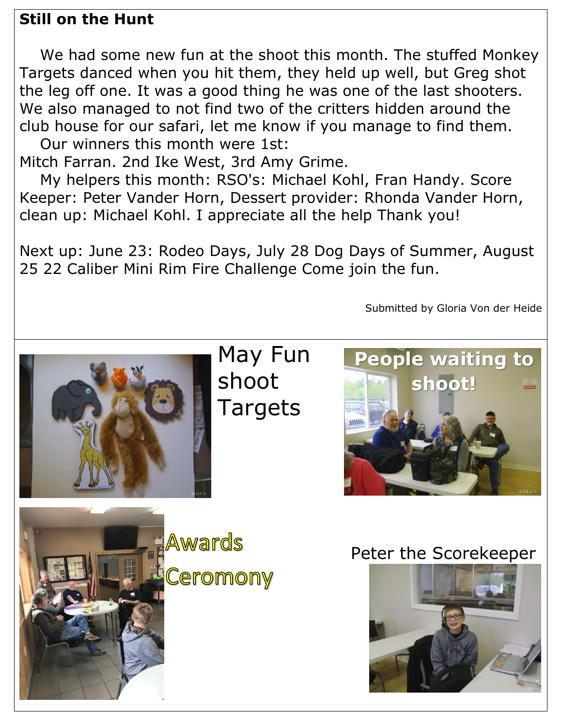## **Still on the Hunt**

We had some new fun at the shoot this month. The stuffed Monkey Targets danced when you hit them, they held up well, but Greg shot the leg off one. It was a good thing he was one of the last shooters. We also managed to not find two of the critters hidden around the club house for our safari, let me know if you manage to find them.

Our winners this month were 1st: Mitch Farran. 2nd Ike West, 3rd Amy Grime.

My helpers this month: RSO's: Michael Kohl, Fran Handy. Score Keeper: Peter Vander Horn, Dessert provider: Rhonda Vander Horn, clean up: Michael Kohl. I appreciate all the help Thank you!

Next up: June 23: Rodeo Days, July 28 Dog Days of Summer, August 25 22 Caliber Mini Rim Fire Challenge Come join the fun.

Submitted by Gloria Von der Heide

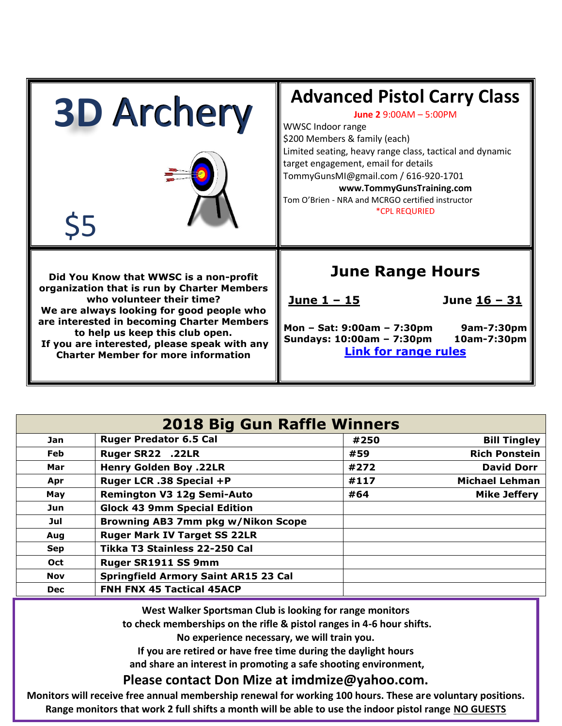| <b>3D Archery</b>                                                                                                                                                                                                                                                                                                                              | <b>Advanced Pistol Carry Class</b><br>June 2 $9:00AM - 5:00PM$<br>WWSC Indoor range<br>\$200 Members & family (each)                                                                                                                                     |  |  |
|------------------------------------------------------------------------------------------------------------------------------------------------------------------------------------------------------------------------------------------------------------------------------------------------------------------------------------------------|----------------------------------------------------------------------------------------------------------------------------------------------------------------------------------------------------------------------------------------------------------|--|--|
| 55                                                                                                                                                                                                                                                                                                                                             | Limited seating, heavy range class, tactical and dynamic<br>target engagement, email for details<br>TommyGunsMI@gmail.com / 616-920-1701<br>www.TommyGunsTraining.com<br>Tom O'Brien - NRA and MCRGO certified instructor<br><i><b>*CPL REQURIED</b></i> |  |  |
| Did You Know that WWSC is a non-profit<br>organization that is run by Charter Members<br>who volunteer their time?<br>We are always looking for good people who<br>are interested in becoming Charter Members<br>to help us keep this club open.<br>If you are interested, please speak with any<br><b>Charter Member for more information</b> | <b>June Range Hours</b><br><u>June 1 - 15</u><br>June 16 - 31<br>Mon - Sat: 9:00am - 7:30pm<br>9am-7:30pm<br>Sundays: 10:00am - 7:30pm<br>10am-7:30pm<br><b>Link for range rules</b>                                                                     |  |  |

| <b>2018 Big Gun Raffle Winners</b> |                                             |      |                       |  |  |
|------------------------------------|---------------------------------------------|------|-----------------------|--|--|
| <b>Jan</b>                         | <b>Ruger Predator 6.5 Cal</b>               | #250 | <b>Bill Tingley</b>   |  |  |
| Feb                                | Ruger SR22 .22LR                            | #59  | <b>Rich Ponstein</b>  |  |  |
| Mar                                | <b>Henry Golden Boy .22LR</b>               | #272 | <b>David Dorr</b>     |  |  |
| Apr                                | Ruger LCR .38 Special +P                    | #117 | <b>Michael Lehman</b> |  |  |
| May                                | <b>Remington V3 12g Semi-Auto</b>           | #64  | <b>Mike Jeffery</b>   |  |  |
| Jun                                | <b>Glock 43 9mm Special Edition</b>         |      |                       |  |  |
| Jul                                | <b>Browning AB3 7mm pkg w/Nikon Scope</b>   |      |                       |  |  |
| Aug                                | <b>Ruger Mark IV Target SS 22LR</b>         |      |                       |  |  |
| <b>Sep</b>                         | Tikka T3 Stainless 22-250 Cal               |      |                       |  |  |
| <b>Oct</b>                         | Ruger SR1911 SS 9mm                         |      |                       |  |  |
| Nov                                | <b>Springfield Armory Saint AR15 23 Cal</b> |      |                       |  |  |
| <b>Dec</b>                         | FNH FNX 45 Tactical 45ACP                   |      |                       |  |  |

**West Walker Sportsman Club is looking for range monitors**

**to check memberships on the rifle & pistol ranges in 4-6 hour shifts.** 

**No experience necessary, we will train you.** 

**If you are retired or have free time during the daylight hours**

**and share an interest in promoting a safe shooting environment,**

## **Please contact Don Mize at imdmize@yahoo.com.**

**Monitors will receive free annual membership renewal for working 100 hours. These are voluntary positions. Range monitors that work 2 full shifts a month will be able to use the indoor pistol range NO GUESTS**